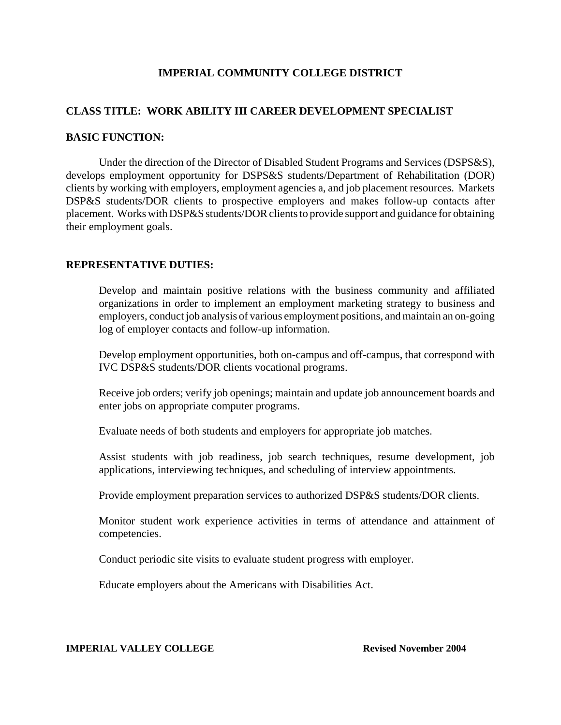# **IMPERIAL COMMUNITY COLLEGE DISTRICT**

# **CLASS TITLE: WORK ABILITY III CAREER DEVELOPMENT SPECIALIST**

## **BASIC FUNCTION:**

Under the direction of the Director of Disabled Student Programs and Services (DSPS&S), develops employment opportunity for DSPS&S students/Department of Rehabilitation (DOR) clients by working with employers, employment agencies a, and job placement resources. Markets DSP&S students/DOR clients to prospective employers and makes follow-up contacts after placement. Works with DSP&S students/DOR clients to provide support and guidance for obtaining their employment goals.

# **REPRESENTATIVE DUTIES:**

Develop and maintain positive relations with the business community and affiliated organizations in order to implement an employment marketing strategy to business and employers, conduct job analysis of various employment positions, and maintain an on-going log of employer contacts and follow-up information.

Develop employment opportunities, both on-campus and off-campus, that correspond with IVC DSP&S students/DOR clients vocational programs.

Receive job orders; verify job openings; maintain and update job announcement boards and enter jobs on appropriate computer programs.

Evaluate needs of both students and employers for appropriate job matches.

Assist students with job readiness, job search techniques, resume development, job applications, interviewing techniques, and scheduling of interview appointments.

Provide employment preparation services to authorized DSP&S students/DOR clients.

Monitor student work experience activities in terms of attendance and attainment of competencies.

Conduct periodic site visits to evaluate student progress with employer.

Educate employers about the Americans with Disabilities Act.

#### **IMPERIAL VALLEY COLLEGE REVISED REVISEd November 2004**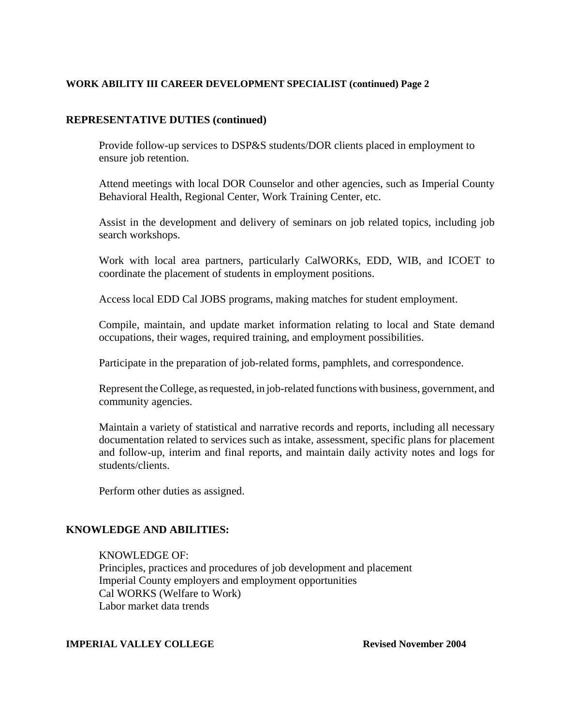## **WORK ABILITY III CAREER DEVELOPMENT SPECIALIST (continued) Page 2**

## **REPRESENTATIVE DUTIES (continued)**

Provide follow-up services to DSP&S students/DOR clients placed in employment to ensure job retention.

Attend meetings with local DOR Counselor and other agencies, such as Imperial County Behavioral Health, Regional Center, Work Training Center, etc.

Assist in the development and delivery of seminars on job related topics, including job search workshops.

Work with local area partners, particularly CalWORKs, EDD, WIB, and ICOET to coordinate the placement of students in employment positions.

Access local EDD Cal JOBS programs, making matches for student employment.

Compile, maintain, and update market information relating to local and State demand occupations, their wages, required training, and employment possibilities.

Participate in the preparation of job-related forms, pamphlets, and correspondence.

Represent the College, as requested, in job-related functions with business, government, and community agencies.

Maintain a variety of statistical and narrative records and reports, including all necessary documentation related to services such as intake, assessment, specific plans for placement and follow-up, interim and final reports, and maintain daily activity notes and logs for students/clients.

Perform other duties as assigned.

# **KNOWLEDGE AND ABILITIES:**

#### KNOWLEDGE OF:

Principles, practices and procedures of job development and placement Imperial County employers and employment opportunities Cal WORKS (Welfare to Work) Labor market data trends

#### **IMPERIAL VALLEY COLLEGE Revised November 2004**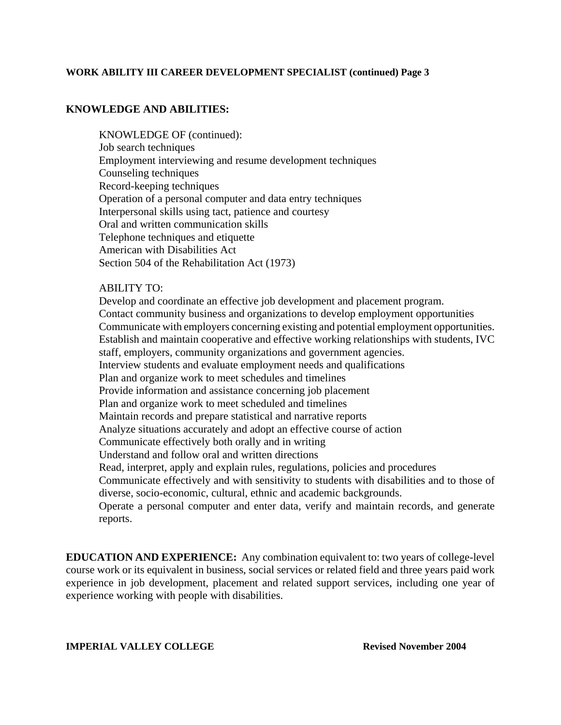### **WORK ABILITY III CAREER DEVELOPMENT SPECIALIST (continued) Page 3**

# **KNOWLEDGE AND ABILITIES:**

KNOWLEDGE OF (continued): Job search techniques Employment interviewing and resume development techniques Counseling techniques Record-keeping techniques Operation of a personal computer and data entry techniques Interpersonal skills using tact, patience and courtesy Oral and written communication skills Telephone techniques and etiquette American with Disabilities Act Section 504 of the Rehabilitation Act (1973)

## ABILITY TO:

Develop and coordinate an effective job development and placement program. Contact community business and organizations to develop employment opportunities Communicate with employers concerning existing and potential employment opportunities. Establish and maintain cooperative and effective working relationships with students, IVC staff, employers, community organizations and government agencies. Interview students and evaluate employment needs and qualifications Plan and organize work to meet schedules and timelines Provide information and assistance concerning job placement Plan and organize work to meet scheduled and timelines Maintain records and prepare statistical and narrative reports Analyze situations accurately and adopt an effective course of action Communicate effectively both orally and in writing Understand and follow oral and written directions Read, interpret, apply and explain rules, regulations, policies and procedures Communicate effectively and with sensitivity to students with disabilities and to those of diverse, socio-economic, cultural, ethnic and academic backgrounds. Operate a personal computer and enter data, verify and maintain records, and generate reports.

**EDUCATION AND EXPERIENCE:** Any combination equivalent to: two years of college-level course work or its equivalent in business, social services or related field and three years paid work experience in job development, placement and related support services, including one year of experience working with people with disabilities.

**IMPERIAL VALLEY COLLEGE Revised November 2004**